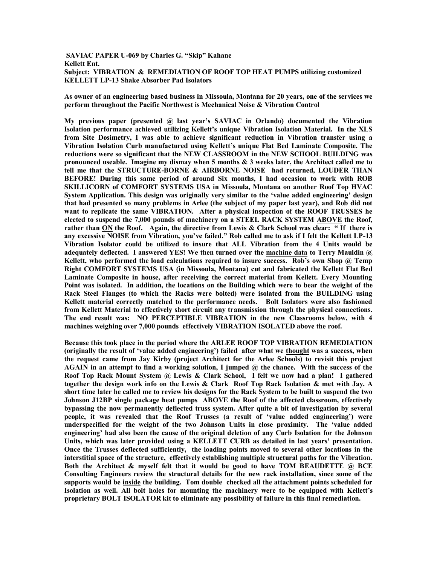## **SAVIAC PAPER U-069 by Charles G. "Skip" Kahane Kellett Ent. Subject: VIBRATION & REMEDIATION OF ROOF TOP HEAT PUMPS utilizing customized KELLETT LP-13 Shake Absorber Pad Isolators**

**As owner of an engineering based business in Missoula, Montana for 20 years, one of the services we perform throughout the Pacific Northwest is Mechanical Noise & Vibration Control**

**My previous paper (presented @ last year's SAVIAC in Orlando) documented the Vibration Isolation performance achieved utilizing Kellett's unique Vibration Isolation Material. In the XLS from Site Dosimetry, I was able to achieve significant reduction in Vibration transfer using a Vibration Isolation Curb manufactured using Kellett's unique Flat Bed Laminate Composite. The reductions were so significant that the NEW CLASSROOM in the NEW SCHOOL BUILDING was pronounced useable. Imagine my dismay when 5 months & 3 weeks later, the Architect called me to tell me that the STRUCTURE-BORNE & AIRBORNE NOISE had returned, LOUDER THAN BEFORE! During this same period of around Six months, I had occasion to work with ROB SKILLICORN of COMFORT SYSTEMS USA in Missoula, Montana on another Roof Top HVAC System Application. This design was originally very similar to the 'value added engineering' design that had presented so many problems in Arlee (the subject of my paper last year), and Rob did not want to replicate the same VIBRATION. After a physical inspection of the ROOF TRUSSES he elected to suspend the 7,000 pounds of machinery on a STEEL RACK SYSTEM ABOVE the Roof, rather than ON the Roof. Again, the directive from Lewis & Clark School was clear: " If there is any excessive NOISE from Vibration, you've failed." Rob called me to ask if I felt the Kellett LP-13 Vibration Isolator could be utilized to insure that ALL Vibration from the 4 Units would be adequately deflected. I answered YES! We then turned over the machine data to Terry Mauldin @ Kellett, who performed the load calculations required to insure success. Rob's own Shop @ Temp Right COMFORT SYSTEMS USA (in Missoula, Montana) cut and fabricated the Kellett Flat Bed Laminate Composite in house, after receiving the correct material from Kellett. Every Mounting Point was isolated. In addition, the locations on the Building which were to bear the weight of the Rack Steel Flanges (to which the Racks were bolted) were isolated from the BUILDING using Kellett material correctly matched to the performance needs. Bolt Isolators were also fashioned from Kellett Material to effectively short circuit any transmission through the physical connections. The end result was: NO PERCEPTIBLE VIBRATION in the new Classrooms below, with 4 machines weighing over 7,000 pounds effectively VIBRATION ISOLATED above the roof.** 

**Because this took place in the period where the ARLEE ROOF TOP VIBRATION REMEDIATION (originally the result of 'value added engineering') failed after what we thought was a success, when the request came from Jay Kirby (project Architect for the Arlee Schools) to revisit this project AGAIN in an attempt to find a working solution, I jumped @ the chance. With the success of the Roof Top Rack Mount System @ Lewis & Clark School, I felt we now had a plan! I gathered together the design work info on the Lewis & Clark Roof Top Rack Isolation & met with Jay. A short time later he called me to review his designs for the Rack System to be built to suspend the two Johnson J12BP single package heat pumps ABOVE the Roof of the affected classroom, effectively bypassing the now permanently deflected truss system. After quite a bit of investigation by several people, it was revealed that the Roof Trusses (a result of 'value added engineering') were underspecified for the weight of the two Johnson Units in close proximity. The 'value added engineering' had also been the cause of the original deletion of any Curb Isolation for the Johnson Units, which was later provided using a KELLETT CURB as detailed in last years' presentation. Once the Trusses deflected sufficiently, the loading points moved to several other locations in the interstitial space of the structure, effectively establishing multiple structural paths for the Vibration. Both the Architect & myself felt that it would be good to have TOM BEAUDETTE @ BCE Consulting Engineers review the structural details for the new rack installation, since some of the supports would be inside the building. Tom double checked all the attachment points scheduled for Isolation as well. All bolt holes for mounting the machinery were to be equipped with Kellett's proprietary BOLT ISOLATOR kit to eliminate any possibility of failure in this final remediation.**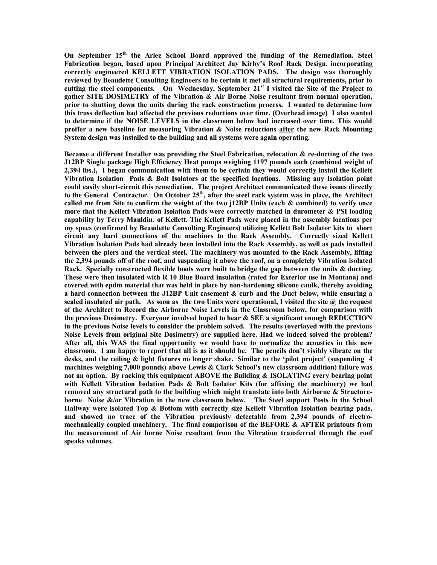**On September 15th the Arlee School Board approved the funding of the Remediation. Steel Fabrication began, based upon Principal Architect Jay Kirby's Roof Rack Design, incorporating correctly engineered KELLETT VIBRATION ISOLATION PADS. The design was thoroughly reviewed by Beaudette Consulting Engineers to be certain it met all structural requirements, prior to cutting the steel components. On Wednesday, September 21st I visited the Site of the Project to gather SITE DOSIMETRY of the Vibration & Air Borne Noise resultant from normal operation, prior to shutting down the units during the rack construction process. I wanted to determine how this truss deflection had affected the previous reductions over time. (Overhead image) I also wanted to determine if the NOISE LEVELS in the classroom below had increased over time. This would proffer a new baseline for measuring Vibration & Noise reductions after the new Rack Mounting System design was installed to the building and all systems were again operating.**

**Because a different Installer was providing the Steel Fabrication, relocation & re-ducting of the two J12BP Single package High Efficiency Heat pumps weighing 1197 pounds each (combined weight of 2,394 lbs.), I began communication with them to be certain they would correctly install the Kellett Vibration Isolation Pads & Bolt Isolators at the specified locations. Missing any Isolation point could easily short-circuit this remediation. The project Architect communicated these issues directly to the General Contractor. On October 25th, after the steel rack system was in place, the Architect called me from Site to confirm the weight of the two j12BP Units (each & combined) to verify once more that the Kellett Vibration Isolation Pads were correctly matched in durometer & PSI loading capability by Terry Mauldin. of Kellett. The Kellett Pads were placed in the assembly locations per my specs (confirmed by Beaudette Consulting Engineers) utilizing Kellett Bolt Isolator kits to short circuit any hard connections of the machines to the Rack Assembly. Correctly sized Kellett Vibration Isolation Pads had already been installed into the Rack Assembly, as well as pads installed between the piers and the vertical steel. The machinery was mounted to the Rack Assembly, lifting the 2,394 pounds off of the roof, and suspending it above the roof, on a completely Vibration isolated Rack. Specially constructed flexible boots were built to bridge the gap between the units & ducting. These were then insulated with R 10 Blue Board insulation (rated for Exterior use in Montana) and covered with epdm material that was held in place by non-hardening silicone caulk, thereby avoiding a hard connection between the J12BP Unit casement & curb and the Duct below, while ensuring a sealed insulated air path. As soon as the two Units were operational, I visited the site @ the request of the Architect to Record the Airborne Noise Levels in the Classroom below, for comparison with the previous Dosimetry. Everyone involved hoped to hear & SEE a significant enough REDUCTION in the previous Noise levels to consider the problem solved. The results (overlayed with the previous Noise Levels from original Site Dosimetry) are supplied here. Had we indeed solved the problem? After all, this WAS the final opportunity we would have to normalize the acoustics in this new classroom. I am happy to report that all is as it should be. The pencils don't visibly vibrate on the desks, and the ceiling & light fixtures no longer shake. Similar to the 'pilot project' (suspending 4 machines weighing 7,000 pounds) above Lewis & Clark School's new classroom addition) failure was not an option. By racking this equipment ABOVE the Building & ISOLATING every bearing point with Kellett Vibration Isolation Pads & Bolt Isolator Kits (for affixing the machinery) we had removed any structural path to the building which might translate into both Airborne & Structureborne Noise &/or Vibration in the new classroom below. The Steel support Posts in the School Hallway were isolated Top & Bottom with correctly size Kellett Vibration Isolation bearing pads, and showed no trace of the Vibration previously detectable from 2,394 pounds of electromechanically coupled machinery. The final comparison of the BEFORE & AFTER printouts from the measurement of Air borne Noise resultant from the Vibration transferred through the roof speaks volumes.**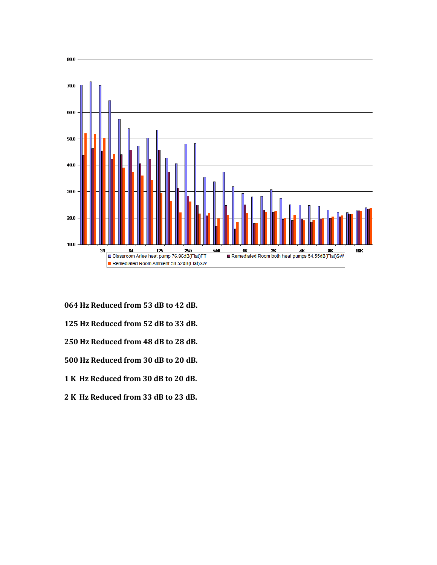

- **064 Hz Reduced from 53 dB to 42 dB.**
- **125 Hz Reduced from 52 dB to 33 dB.**
- **250 Hz Reduced from 48 dB to 28 dB.**
- **500 Hz Reduced from 30 dB to 20 dB.**
- **1 K Hz Reduced from 30 dB to 20 dB.**
- **2 K Hz Reduced from 33 dB to 23 dB.**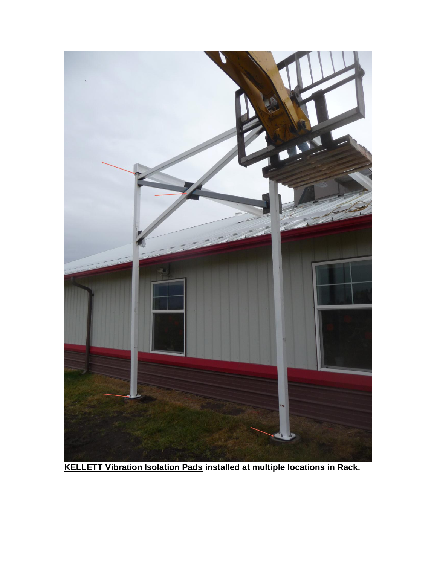

**KELLETT Vibration Isolation Pads installed at multiple locations in Rack.**